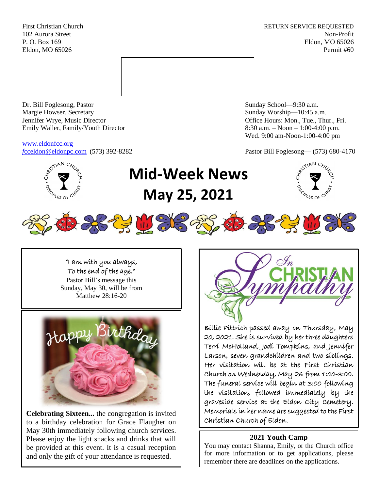First Christian Church **RETURN SERVICE REQUESTED** 102 Aurora Street Non-Profit P. O. Box 169 Eldon, MO 65026 Eldon, MO 65026 Permit #60



Dr. Bill Foglesong, Pastor Sunday School—9:30 a.m. Margie Howser, Secretary Sunday Worship—10:45 a.m. Jennifer Wrye, Music Director Office Hours: Mon., Tue., Thur., Fri. Emily Waller, Family/Youth Director 8:30 a.m. – Noon – 1:00-4:00 p.m.

[www.eldonfcc.org](http://www.eldonfcc.org/)

Wed. 9:00 am-Noon-1:00-4:00 pm

*f*[cceldon@eldonpc.com](mailto:fcceldon@eldonpc.com) (573) 392-8282 Pastor Bill Foglesong— (573) 680-4170



# **Mid-Week News May 25, 2021**





"I am with you always, To the end of the age."

Pastor Bill's message this Sunday, May 30, will be from Matthew 28:16-20



**Celebrating Sixteen...** the congregation is invited to a birthday celebration for Grace Flaugher on May 30th immediately following church services. Please enjoy the light snacks and drinks that will be provided at this event. It is a casual reception and only the gift of your attendance is requested.



Billie Pittrich passed away on Thursday, May 20, 2021. She is survived by her three daughters Terri McHolland, Jodi Tompkins, and Jennifer Larson, seven grandchildren and two siblings. Her visitation will be at the First Christian Church on Wednesday, May 26 from 1:00-3:00. The funeral service will begin at 3:00 following the visitation, followed immediately by the graveside service at the Eldon City Cemetery. Memorials in her name are suggested to the First Christian Church of Eldon.

## **2021 Youth Camp**

You may contact Shanna, Emily, or the Church office for more information or to get applications, please remember there are deadlines on the applications.